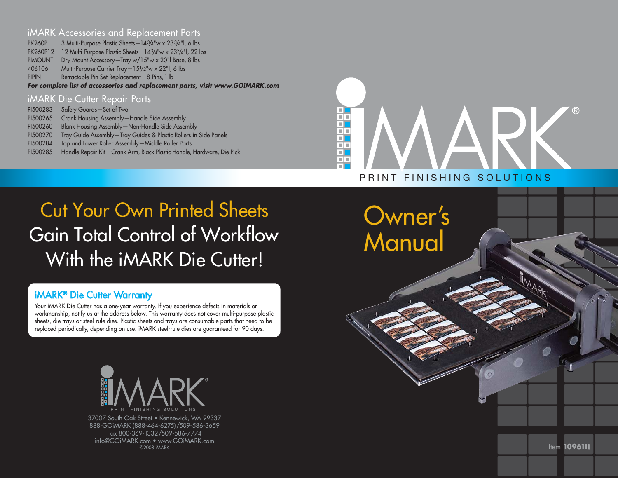#### iMARK Accessories and Replacement Parts

PK260P 3 Multi-Purpose Plastic Sheets-143/4"w x 233/4"l, 6 lbs PK260P12 12 Multi-Purpose Plastic Sheets—143/4"w x 233/4"l, 22 lbs PIMOUNT Dry Mount Accessory—Tray w/15"w x 20"l Base, 8 lbs 406106 Multi-Purpose Carrier Tray—151/2"w x 22"l, 6 lbs PIPIN Retractable Pin Set Replacement—8 Pins, 1 lb *For complete list of accessories and replacement parts, visit www.GOiMARK.com* 

#### iMARK Die Cutter Repair Parts PI500283 Safety Guards—Set of Two PI500265 Crank Housing Assembly—Handle Side Assembly PI500260 Blank Housing Assembly—Non-Handle Side Assembly PI500270 Tray Guide Assembly—Tray Guides & Plastic Rollers in Side Panels PI500284 Top and Lower Roller Assembly—Middle Roller Parts PI500285 Handle Repair Kit—Crank Arm, Black Plastic Handle, Hardware, Die Pick

## 画画  $\Box$  $\overline{\blacksquare}$ Ħ пT PRINT FINISHING SOLUTIONS

# Cut Your Own Printed Sheets Gain Total Control of Workflow With the *iMARK* Die Cutter!

### iMARK® Die Cutter Warranty

Your iMARK Die Cutter has a one-year warranty. If you experience defects in materials or workmanship, notify us at the address below. This warranty does not cover multi-purpose plastic sheets, die trays or steel-rule dies. Plastic sheets and trays are consumable parts that need to be replaced periodically, depending on use. iMARK steel-rule dies are guaranteed for 90 days.



37007 South Oak Street • Kennewick, WA 99337 888-GOiMARK (888-464-6275)/509-586-3659 Fax 800-369-1332/509-586-7774 info@GOiMARK.com • www.GOiMARK.com©2008 iMARK